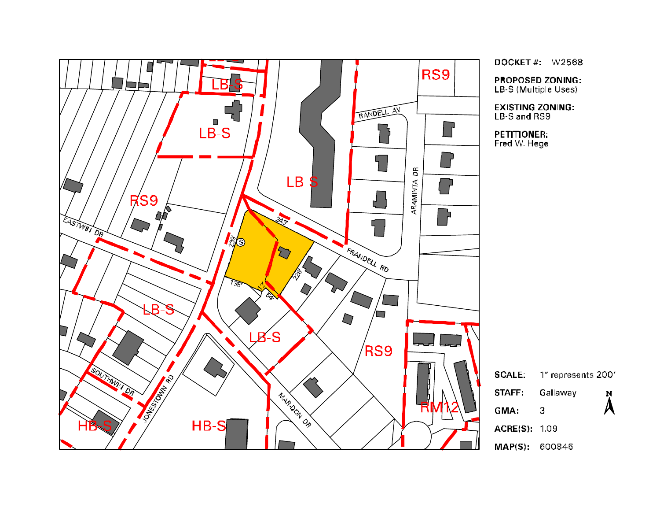

DOCKET #:  $W2568$ 

**PROPOSED ZONING:** LB-S (Multiple Uses)

**EXISTING ZONING:** LB-S and RS9

**PETITIONER:** Fred W. Hege

1" represents 200' Gallaway Ņ  $\overline{\mathbf{A}}$  $\overline{\mathbf{3}}$ ACRE(S): 1.09

MAP(S): 600846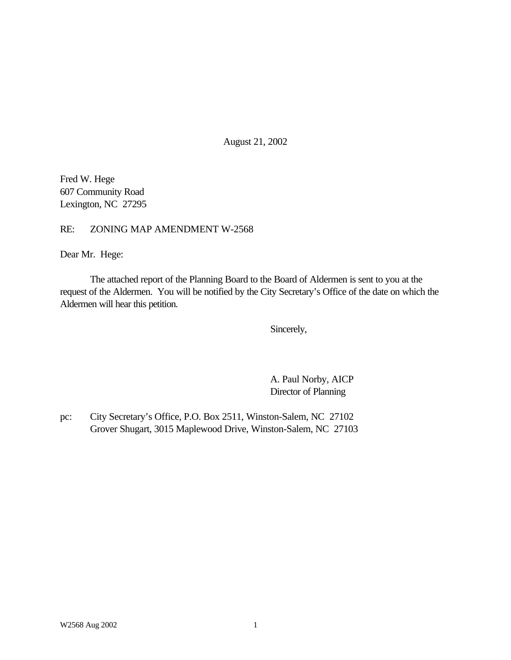August 21, 2002

Fred W. Hege 607 Community Road Lexington, NC 27295

RE: ZONING MAP AMENDMENT W-2568

Dear Mr. Hege:

The attached report of the Planning Board to the Board of Aldermen is sent to you at the request of the Aldermen. You will be notified by the City Secretary's Office of the date on which the Aldermen will hear this petition.

Sincerely,

A. Paul Norby, AICP Director of Planning

pc: City Secretary's Office, P.O. Box 2511, Winston-Salem, NC 27102 Grover Shugart, 3015 Maplewood Drive, Winston-Salem, NC 27103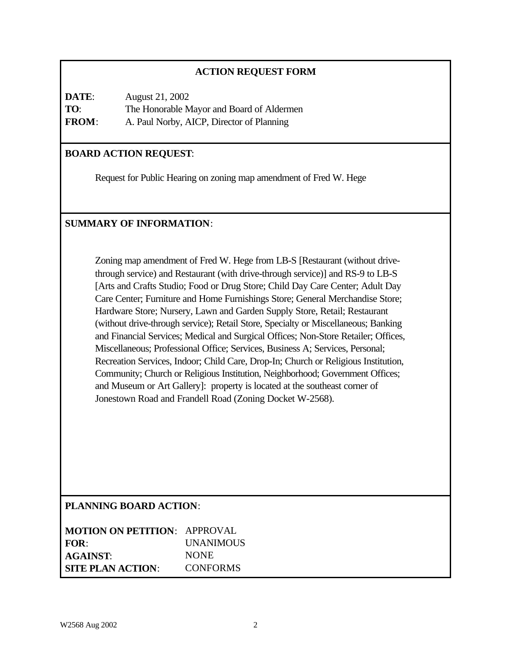## **ACTION REQUEST FORM**

| DATE:        | August 21, 2002                           |
|--------------|-------------------------------------------|
| TO:          | The Honorable Mayor and Board of Aldermen |
| <b>FROM:</b> | A. Paul Norby, AICP, Director of Planning |

## **BOARD ACTION REQUEST**:

Request for Public Hearing on zoning map amendment of Fred W. Hege

## **SUMMARY OF INFORMATION**:

Zoning map amendment of Fred W. Hege from LB-S [Restaurant (without drivethrough service) and Restaurant (with drive-through service)] and RS-9 to LB-S [Arts and Crafts Studio; Food or Drug Store; Child Day Care Center; Adult Day Care Center; Furniture and Home Furnishings Store; General Merchandise Store; Hardware Store; Nursery, Lawn and Garden Supply Store, Retail; Restaurant (without drive-through service); Retail Store, Specialty or Miscellaneous; Banking and Financial Services; Medical and Surgical Offices; Non-Store Retailer; Offices, Miscellaneous; Professional Office; Services, Business A; Services, Personal; Recreation Services, Indoor; Child Care, Drop-In; Church or Religious Institution, Community; Church or Religious Institution, Neighborhood; Government Offices; and Museum or Art Gallery]: property is located at the southeast corner of Jonestown Road and Frandell Road (Zoning Docket W-2568).

### **PLANNING BOARD ACTION**:

| <b>MOTION ON PETITION: APPROVAL</b> |                  |
|-------------------------------------|------------------|
| FOR:                                | <b>UNANIMOUS</b> |
| <b>AGAINST:</b>                     | <b>NONE</b>      |
| <b>SITE PLAN ACTION:</b>            | <b>CONFORMS</b>  |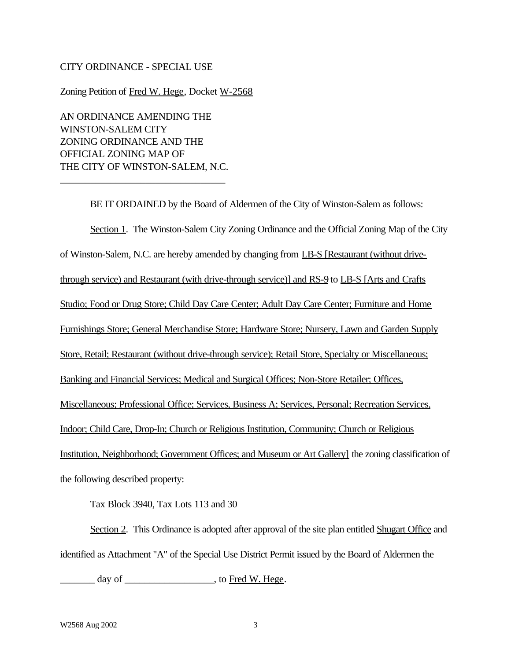#### CITY ORDINANCE - SPECIAL USE

Zoning Petition of Fred W. Hege, Docket W-2568

AN ORDINANCE AMENDING THE WINSTON-SALEM CITY ZONING ORDINANCE AND THE OFFICIAL ZONING MAP OF THE CITY OF WINSTON-SALEM, N.C.

\_\_\_\_\_\_\_\_\_\_\_\_\_\_\_\_\_\_\_\_\_\_\_\_\_\_\_\_\_\_\_\_\_

BE IT ORDAINED by the Board of Aldermen of the City of Winston-Salem as follows: Section 1. The Winston-Salem City Zoning Ordinance and the Official Zoning Map of the City of Winston-Salem, N.C. are hereby amended by changing from LB-S [Restaurant (without drivethrough service) and Restaurant (with drive-through service)] and RS-9 to LB-S [Arts and Crafts Studio; Food or Drug Store; Child Day Care Center; Adult Day Care Center; Furniture and Home Furnishings Store; General Merchandise Store; Hardware Store; Nursery, Lawn and Garden Supply Store, Retail; Restaurant (without drive-through service); Retail Store, Specialty or Miscellaneous; Banking and Financial Services; Medical and Surgical Offices; Non-Store Retailer; Offices, Miscellaneous; Professional Office; Services, Business A; Services, Personal; Recreation Services, Indoor; Child Care, Drop-In; Church or Religious Institution, Community; Church or Religious Institution, Neighborhood; Government Offices; and Museum or Art Gallery] the zoning classification of the following described property:

Tax Block 3940, Tax Lots 113 and 30

Section 2. This Ordinance is adopted after approval of the site plan entitled Shugart Office and identified as Attachment "A" of the Special Use District Permit issued by the Board of Aldermen the

day of \_\_\_\_\_\_\_\_\_\_\_\_\_\_\_\_\_\_\_\_\_, to Fred W. Hege.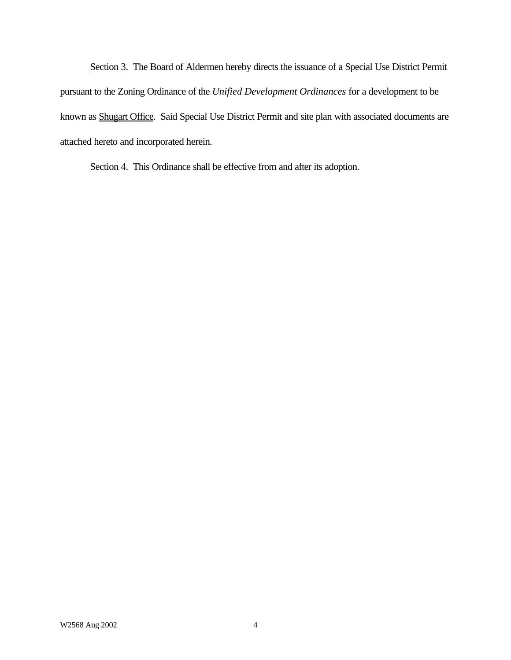Section 3. The Board of Aldermen hereby directs the issuance of a Special Use District Permit pursuant to the Zoning Ordinance of the *Unified Development Ordinances* for a development to be known as Shugart Office. Said Special Use District Permit and site plan with associated documents are attached hereto and incorporated herein.

Section 4. This Ordinance shall be effective from and after its adoption.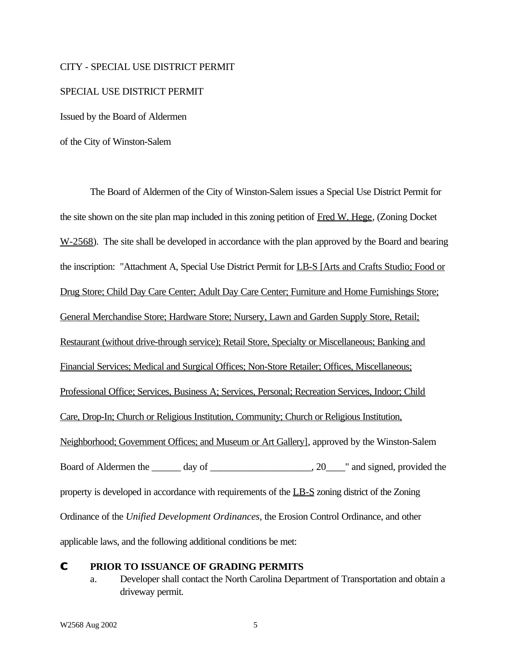#### CITY - SPECIAL USE DISTRICT PERMIT

#### SPECIAL USE DISTRICT PERMIT

Issued by the Board of Aldermen

of the City of Winston-Salem

The Board of Aldermen of the City of Winston-Salem issues a Special Use District Permit for the site shown on the site plan map included in this zoning petition of Fred W. Hege, (Zoning Docket  $W-2568$ ). The site shall be developed in accordance with the plan approved by the Board and bearing the inscription: "Attachment A, Special Use District Permit for LB-S [Arts and Crafts Studio; Food or Drug Store; Child Day Care Center; Adult Day Care Center; Furniture and Home Furnishings Store; General Merchandise Store; Hardware Store; Nursery, Lawn and Garden Supply Store, Retail; Restaurant (without drive-through service); Retail Store, Specialty or Miscellaneous; Banking and Financial Services; Medical and Surgical Offices; Non-Store Retailer; Offices, Miscellaneous; Professional Office; Services, Business A; Services, Personal; Recreation Services, Indoor; Child Care, Drop-In; Church or Religious Institution, Community; Church or Religious Institution, Neighborhood; Government Offices; and Museum or Art Gallery], approved by the Winston-Salem Board of Aldermen the \_\_\_\_\_\_ day of \_\_\_\_\_\_\_\_\_\_\_\_\_\_\_\_\_\_\_\_, 20\_\_\_\_" and signed, provided the property is developed in accordance with requirements of the LB-S zoning district of the Zoning Ordinance of the *Unified Development Ordinances*, the Erosion Control Ordinance, and other applicable laws, and the following additional conditions be met:

#### **C PRIOR TO ISSUANCE OF GRADING PERMITS**

a. Developer shall contact the North Carolina Department of Transportation and obtain a driveway permit.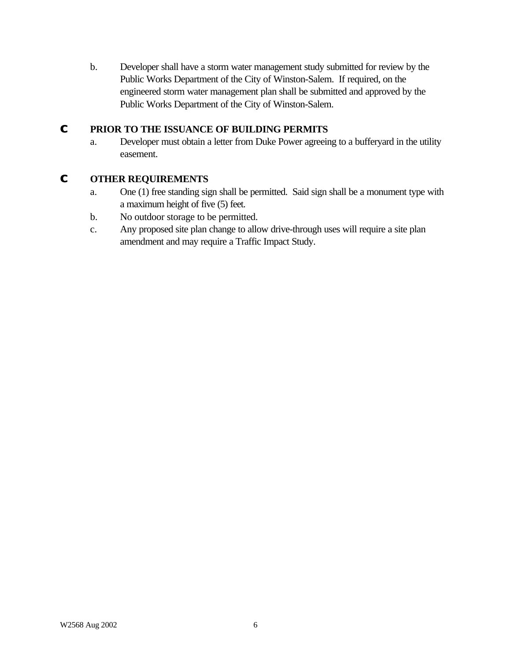b. Developer shall have a storm water management study submitted for review by the Public Works Department of the City of Winston-Salem. If required, on the engineered storm water management plan shall be submitted and approved by the Public Works Department of the City of Winston-Salem.

## **C PRIOR TO THE ISSUANCE OF BUILDING PERMITS**

a. Developer must obtain a letter from Duke Power agreeing to a bufferyard in the utility easement.

## **C OTHER REQUIREMENTS**

- a. One (1) free standing sign shall be permitted. Said sign shall be a monument type with a maximum height of five (5) feet.
- b. No outdoor storage to be permitted.
- c. Any proposed site plan change to allow drive-through uses will require a site plan amendment and may require a Traffic Impact Study.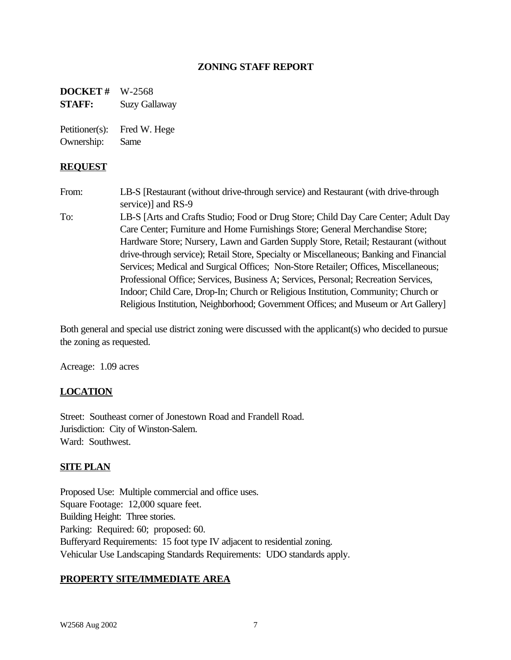## **ZONING STAFF REPORT**

**DOCKET #** W-2568 **STAFF:** Suzy Gallaway

Petitioner(s): Fred W. Hege Ownership: Same

#### **REQUEST**

From: LB-S [Restaurant (without drive-through service) and Restaurant (with drive-through service)] and RS-9

To: LB-S [Arts and Crafts Studio; Food or Drug Store; Child Day Care Center; Adult Day Care Center; Furniture and Home Furnishings Store; General Merchandise Store; Hardware Store; Nursery, Lawn and Garden Supply Store, Retail; Restaurant (without drive-through service); Retail Store, Specialty or Miscellaneous; Banking and Financial Services; Medical and Surgical Offices; Non-Store Retailer; Offices, Miscellaneous; Professional Office; Services, Business A; Services, Personal; Recreation Services, Indoor; Child Care, Drop-In; Church or Religious Institution, Community; Church or Religious Institution, Neighborhood; Government Offices; and Museum or Art Gallery]

Both general and special use district zoning were discussed with the applicant(s) who decided to pursue the zoning as requested.

Acreage: 1.09 acres

### **LOCATION**

Street: Southeast corner of Jonestown Road and Frandell Road. Jurisdiction: City of Winston-Salem. Ward: Southwest.

#### **SITE PLAN**

Proposed Use: Multiple commercial and office uses. Square Footage: 12,000 square feet. Building Height: Three stories. Parking: Required: 60; proposed: 60. Bufferyard Requirements: 15 foot type IV adjacent to residential zoning. Vehicular Use Landscaping Standards Requirements: UDO standards apply.

#### **PROPERTY SITE/IMMEDIATE AREA**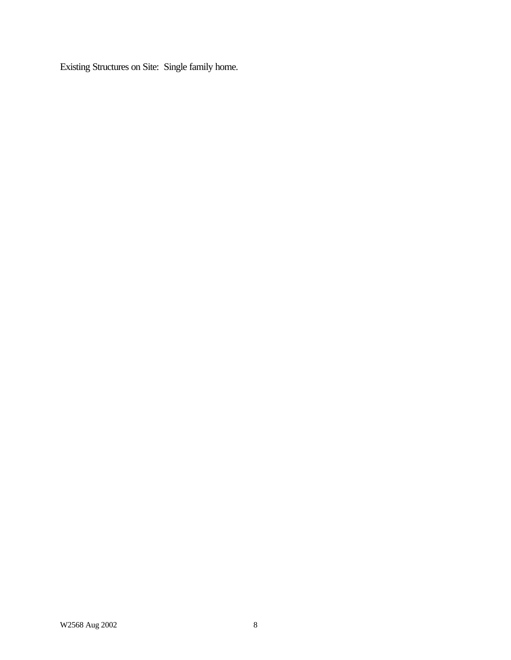Existing Structures on Site: Single family home.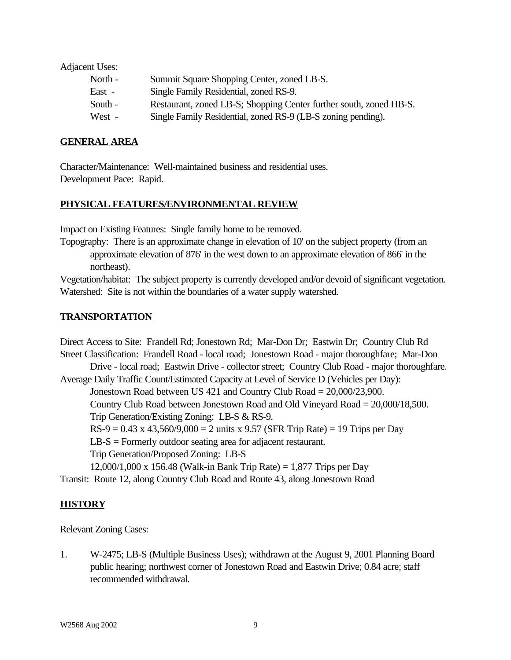Adjacent Uses:

| North - | Summit Square Shopping Center, zoned LB-S.                         |
|---------|--------------------------------------------------------------------|
| East -  | Single Family Residential, zoned RS-9.                             |
| South - | Restaurant, zoned LB-S; Shopping Center further south, zoned HB-S. |
| West -  | Single Family Residential, zoned RS-9 (LB-S zoning pending).       |

#### **GENERAL AREA**

Character/Maintenance: Well-maintained business and residential uses. Development Pace: Rapid.

#### **PHYSICAL FEATURES/ENVIRONMENTAL REVIEW**

Impact on Existing Features: Single family home to be removed.

Topography: There is an approximate change in elevation of 10' on the subject property (from an approximate elevation of 876' in the west down to an approximate elevation of 866' in the northeast).

Vegetation/habitat: The subject property is currently developed and/or devoid of significant vegetation. Watershed: Site is not within the boundaries of a water supply watershed.

#### **TRANSPORTATION**

Direct Access to Site: Frandell Rd; Jonestown Rd; Mar-Don Dr; Eastwin Dr; Country Club Rd Street Classification: Frandell Road - local road; Jonestown Road - major thoroughfare; Mar-Don Drive - local road; Eastwin Drive - collector street; Country Club Road - major thoroughfare. Average Daily Traffic Count/Estimated Capacity at Level of Service D (Vehicles per Day): Jonestown Road between US 421 and Country Club Road = 20,000/23,900. Country Club Road between Jonestown Road and Old Vineyard Road = 20,000/18,500. Trip Generation/Existing Zoning: LB-S & RS-9.  $RS-9 = 0.43 \times 43{,}560/9{,}000 = 2$  units x 9.57 (SFR Trip Rate) = 19 Trips per Day LB-S = Formerly outdoor seating area for adjacent restaurant. Trip Generation/Proposed Zoning: LB-S 12,000/1,000 x 156.48 (Walk-in Bank Trip Rate) = 1,877 Trips per Day Transit: Route 12, along Country Club Road and Route 43, along Jonestown Road

### **HISTORY**

Relevant Zoning Cases:

1. W-2475; LB-S (Multiple Business Uses); withdrawn at the August 9, 2001 Planning Board public hearing; northwest corner of Jonestown Road and Eastwin Drive; 0.84 acre; staff recommended withdrawal.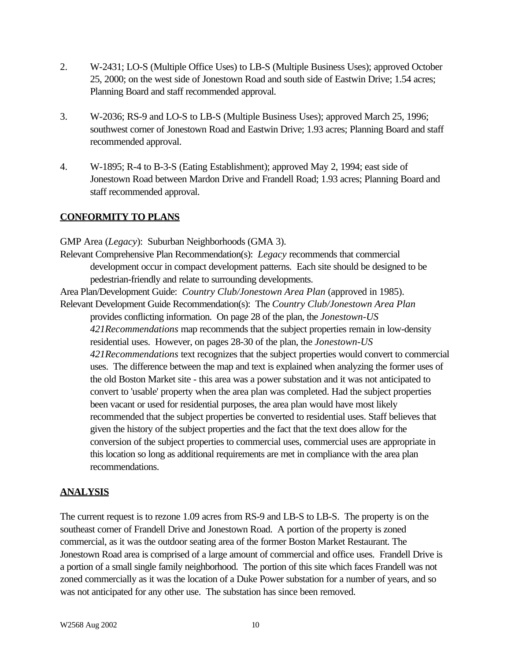- 2. W-2431; LO-S (Multiple Office Uses) to LB-S (Multiple Business Uses); approved October 25, 2000; on the west side of Jonestown Road and south side of Eastwin Drive; 1.54 acres; Planning Board and staff recommended approval.
- 3. W-2036; RS-9 and LO-S to LB-S (Multiple Business Uses); approved March 25, 1996; southwest corner of Jonestown Road and Eastwin Drive; 1.93 acres; Planning Board and staff recommended approval.
- 4. W-1895; R-4 to B-3-S (Eating Establishment); approved May 2, 1994; east side of Jonestown Road between Mardon Drive and Frandell Road; 1.93 acres; Planning Board and staff recommended approval.

# **CONFORMITY TO PLANS**

GMP Area (*Legacy*): Suburban Neighborhoods (GMA 3). Relevant Comprehensive Plan Recommendation(s): *Legacy* recommends that commercial development occur in compact development patterns. Each site should be designed to be pedestrian-friendly and relate to surrounding developments. Area Plan/Development Guide: *Country Club/Jonestown Area Plan* (approved in 1985). Relevant Development Guide Recommendation(s): The *Country Club/Jonestown Area Plan* provides conflicting information. On page 28 of the plan, the *Jonestown-US 421Recommendations* map recommends that the subject properties remain in low-density residential uses. However, on pages 28-30 of the plan, the *Jonestown-US 421Recommendations* text recognizes that the subject properties would convert to commercial uses. The difference between the map and text is explained when analyzing the former uses of the old Boston Market site - this area was a power substation and it was not anticipated to convert to 'usable' property when the area plan was completed. Had the subject properties been vacant or used for residential purposes, the area plan would have most likely recommended that the subject properties be converted to residential uses. Staff believes that given the history of the subject properties and the fact that the text does allow for the conversion of the subject properties to commercial uses, commercial uses are appropriate in this location so long as additional requirements are met in compliance with the area plan recommendations.

## **ANALYSIS**

The current request is to rezone 1.09 acres from RS-9 and LB-S to LB-S. The property is on the southeast corner of Frandell Drive and Jonestown Road. A portion of the property is zoned commercial, as it was the outdoor seating area of the former Boston Market Restaurant. The Jonestown Road area is comprised of a large amount of commercial and office uses. Frandell Drive is a portion of a small single family neighborhood. The portion of this site which faces Frandell was not zoned commercially as it was the location of a Duke Power substation for a number of years, and so was not anticipated for any other use. The substation has since been removed.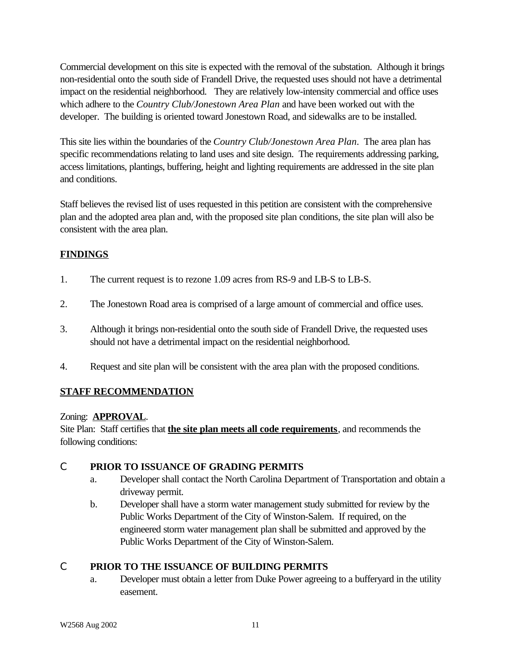Commercial development on this site is expected with the removal of the substation. Although it brings non-residential onto the south side of Frandell Drive, the requested uses should not have a detrimental impact on the residential neighborhood. They are relatively low-intensity commercial and office uses which adhere to the *Country Club/Jonestown Area Plan* and have been worked out with the developer. The building is oriented toward Jonestown Road, and sidewalks are to be installed.

This site lies within the boundaries of the *Country Club/Jonestown Area Plan*. The area plan has specific recommendations relating to land uses and site design. The requirements addressing parking, access limitations, plantings, buffering, height and lighting requirements are addressed in the site plan and conditions.

Staff believes the revised list of uses requested in this petition are consistent with the comprehensive plan and the adopted area plan and, with the proposed site plan conditions, the site plan will also be consistent with the area plan.

# **FINDINGS**

- 1. The current request is to rezone 1.09 acres from RS-9 and LB-S to LB-S.
- 2. The Jonestown Road area is comprised of a large amount of commercial and office uses.
- 3. Although it brings non-residential onto the south side of Frandell Drive, the requested uses should not have a detrimental impact on the residential neighborhood.
- 4. Request and site plan will be consistent with the area plan with the proposed conditions.

# **STAFF RECOMMENDATION**

## Zoning: **APPROVAL**.

Site Plan: Staff certifies that **the site plan meets all code requirements**, and recommends the following conditions:

## C **PRIOR TO ISSUANCE OF GRADING PERMITS**

- a. Developer shall contact the North Carolina Department of Transportation and obtain a driveway permit.
- b. Developer shall have a storm water management study submitted for review by the Public Works Department of the City of Winston-Salem. If required, on the engineered storm water management plan shall be submitted and approved by the Public Works Department of the City of Winston-Salem.

# C **PRIOR TO THE ISSUANCE OF BUILDING PERMITS**

a. Developer must obtain a letter from Duke Power agreeing to a bufferyard in the utility easement.